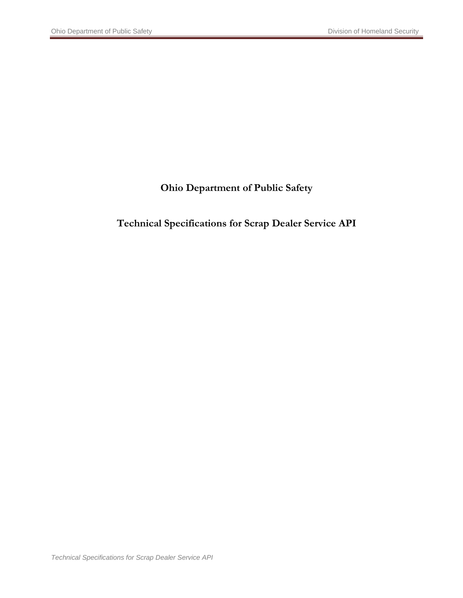### **Ohio Department of Public Safety**

### **Technical Specifications for Scrap Dealer Service API**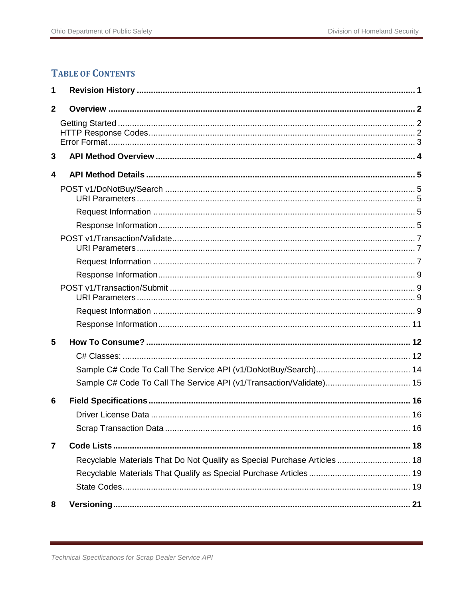### **TABLE OF CONTENTS**

| 1              |                                                                           |  |
|----------------|---------------------------------------------------------------------------|--|
| $\overline{2}$ |                                                                           |  |
|                |                                                                           |  |
| 3              |                                                                           |  |
| 4              |                                                                           |  |
|                |                                                                           |  |
|                |                                                                           |  |
|                |                                                                           |  |
|                |                                                                           |  |
|                |                                                                           |  |
|                |                                                                           |  |
|                |                                                                           |  |
|                |                                                                           |  |
|                |                                                                           |  |
| 5              |                                                                           |  |
|                |                                                                           |  |
|                |                                                                           |  |
|                | Sample C# Code To Call The Service API (v1/Transaction/Validate) 15       |  |
| 6              |                                                                           |  |
|                |                                                                           |  |
|                |                                                                           |  |
| $\overline{7}$ |                                                                           |  |
|                | Recyclable Materials That Do Not Qualify as Special Purchase Articles  18 |  |
|                |                                                                           |  |
|                |                                                                           |  |
| 8              |                                                                           |  |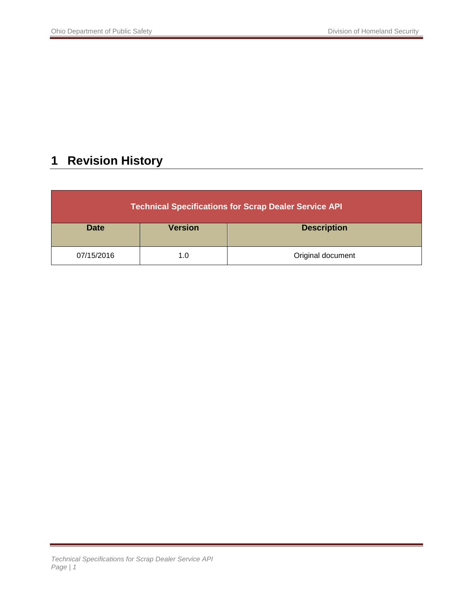# <span id="page-2-0"></span>**1 Revision History**

| <b>Technical Specifications for Scrap Dealer Service API</b> |                |                    |
|--------------------------------------------------------------|----------------|--------------------|
| <b>Date</b>                                                  | <b>Version</b> | <b>Description</b> |
| 07/15/2016                                                   | 1.0            | Original document  |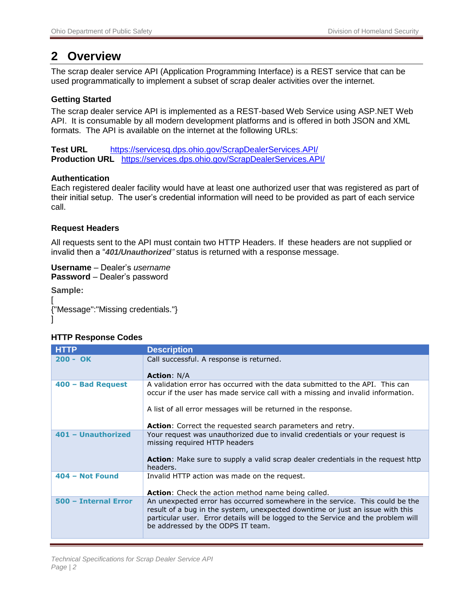### <span id="page-3-0"></span>**2 Overview**

The scrap dealer service API (Application Programming Interface) is a REST service that can be used programmatically to implement a subset of scrap dealer activities over the internet.

#### <span id="page-3-1"></span>**Getting Started**

The scrap dealer service API is implemented as a REST-based Web Service using ASP.NET Web API. It is consumable by all modern development platforms and is offered in both JSON and XML formats. The API is available on the internet at the following URLs:

**Test URL** <https://servicesq.dps.ohio.gov/ScrapDealerServices.API/> **Production URL** <https://services.dps.ohio.gov/ScrapDealerServices.API/>

#### **Authentication**

Each registered dealer facility would have at least one authorized user that was registered as part of their initial setup. The user's credential information will need to be provided as part of each service call.

#### **Request Headers**

All requests sent to the API must contain two HTTP Headers. If these headers are not supplied or invalid then a "*401/Unauthorized"* status is returned with a response message.

**Username** – Dealer's *username* **Password** – Dealer's password

**Sample:**

<span id="page-3-2"></span> $\mathbf{I}$ 

[ {"Message":"Missing credentials."}

#### **HTTP Response Codes**

| <b>HTTP</b>          | <b>Description</b>                                                                                                                                                                                                                                                                      |
|----------------------|-----------------------------------------------------------------------------------------------------------------------------------------------------------------------------------------------------------------------------------------------------------------------------------------|
| $200 - OK$           | Call successful. A response is returned.                                                                                                                                                                                                                                                |
|                      | <b>Action: N/A</b>                                                                                                                                                                                                                                                                      |
| 400 - Bad Request    | A validation error has occurred with the data submitted to the API. This can<br>occur if the user has made service call with a missing and invalid information.                                                                                                                         |
|                      | A list of all error messages will be returned in the response.                                                                                                                                                                                                                          |
|                      | <b>Action:</b> Correct the requested search parameters and retry.                                                                                                                                                                                                                       |
| 401 - Unauthorized   | Your request was unauthorized due to invalid credentials or your request is<br>missing required HTTP headers<br><b>Action:</b> Make sure to supply a valid scrap dealer credentials in the request http<br>headers.                                                                     |
| 404 - Not Found      | Invalid HTTP action was made on the request.<br><b>Action:</b> Check the action method name being called.                                                                                                                                                                               |
| 500 - Internal Error | An unexpected error has occurred somewhere in the service. This could be the<br>result of a bug in the system, unexpected downtime or just an issue with this<br>particular user. Error details will be logged to the Service and the problem will<br>be addressed by the ODPS IT team. |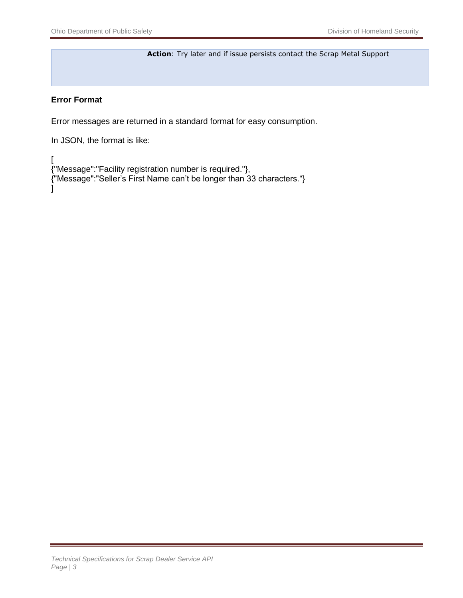**Action**: Try later and if issue persists contact the Scrap Metal Support

#### <span id="page-4-0"></span>**Error Format**

Error messages are returned in a standard format for easy consumption.

In JSON, the format is like:

[ {"Message":"Facility registration number is required."}, {"Message":"Seller's First Name can't be longer than 33 characters."} ]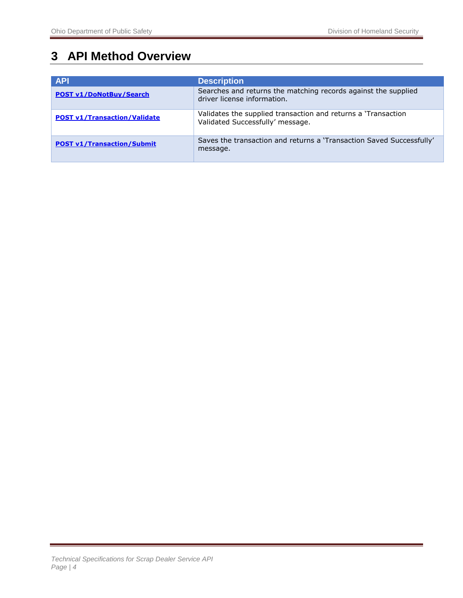# <span id="page-5-0"></span>**3 API Method Overview**

| <b>API</b>                          | <b>Description</b>                                                                                |
|-------------------------------------|---------------------------------------------------------------------------------------------------|
| <b>POST v1/DoNotBuy/Search</b>      | Searches and returns the matching records against the supplied<br>driver license information.     |
| <b>POST v1/Transaction/Validate</b> | Validates the supplied transaction and returns a 'Transaction<br>Validated Successfully' message. |
| <b>POST v1/Transaction/Submit</b>   | Saves the transaction and returns a 'Transaction Saved Successfully'<br>message.                  |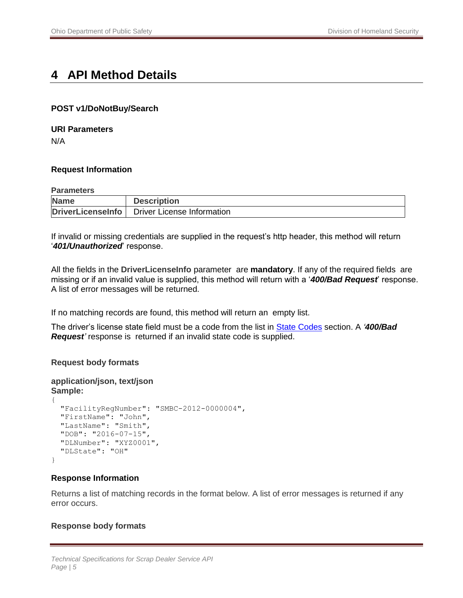## <span id="page-6-0"></span>**4 API Method Details**

#### <span id="page-6-1"></span>**POST v1/DoNotBuy/Search**

#### <span id="page-6-2"></span>**URI Parameters**

N/A

#### <span id="page-6-3"></span>**Request Information**

#### **Parameters**

| <b>Name</b> | <b>Description</b>                             |
|-------------|------------------------------------------------|
|             | DriverLicenseInfo   Driver License Information |

If invalid or missing credentials are supplied in the request's http header, this method will return '*401/Unauthorized*' response.

All the fields in the **DriverLicenseInfo** parameter are **mandatory**. If any of the required fields are missing or if an invalid value is supplied, this method will return with a '*400/Bad Request*' response. A list of error messages will be returned.

If no matching records are found, this method will return an empty list.

The driver's license state field must be a code from the list in [State Codes](#page-17-0) section. A *'400/Bad*  **Request**' response is returned if an invalid state code is supplied.

#### **Request body formats**

```
application/json, text/json
Sample:
{
   "FacilityRegNumber": "SMBC-2012-0000004",
   "FirstName": "John",
   "LastName": "Smith",
   "DOB": "2016-07-15",
   "DLNumber": "XYZ0001",
   "DLState": "OH"
}
```
#### <span id="page-6-4"></span>**Response Information**

Returns a list of matching records in the format below. A list of error messages is returned if any error occurs.

#### **Response body formats**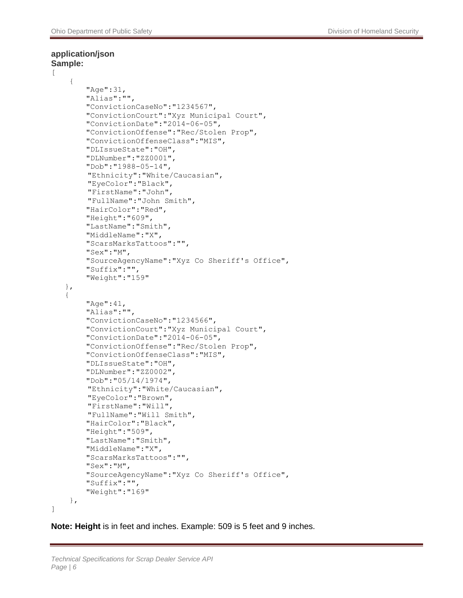#### **application/json Sample:**

```
[
     {
       "Age":31,
        "Alias":"",
        "ConvictionCaseNo":"1234567",
        "ConvictionCourt":"Xyz Municipal Court",
        "ConvictionDate":"2014-06-05",
        "ConvictionOffense":"Rec/Stolen Prop",
        "ConvictionOffenseClass":"MIS",
        "DLIssueState":"OH",
        "DLNumber":"ZZ0001",
        "Dob":"1988-05-14",
         "Ethnicity":"White/Caucasian",
         "EyeColor":"Black",
         "FirstName":"John",
         "FullName":"John Smith",
        "HairColor":"Red",
        "Height":"609",
        "LastName":"Smith",
        "MiddleName":"X",
        "ScarsMarksTattoos":"",
        "Sex":"M",
        "SourceAgencyName":"Xyz Co Sheriff's Office",
        "Suffix":"",
        "Weight":"159"
    },
    {
        "Age":41,
       "Alias":"",
       "ConvictionCaseNo":"1234566",
        "ConvictionCourt":"Xyz Municipal Court",
        "ConvictionDate":"2014-06-05",
        "ConvictionOffense":"Rec/Stolen Prop",
        "ConvictionOffenseClass":"MIS",
        "DLIssueState":"OH",
       "DLNumber":"ZZ0002",
        "Dob":"05/14/1974",
         "Ethnicity":"White/Caucasian",
         "EyeColor":"Brown",
         "FirstName":"Will",
         "FullName":"Will Smith",
        "HairColor":"Black",
        "Height":"509",
        "LastName":"Smith",
        "MiddleName":"X",
        "ScarsMarksTattoos":"",
        "Sex":"M",
        "SourceAgencyName":"Xyz Co Sheriff's Office",
        "Suffix":"",
        "Weight":"169"
     },
]
```
**Note: Height** is in feet and inches. Example: 509 is 5 feet and 9 inches.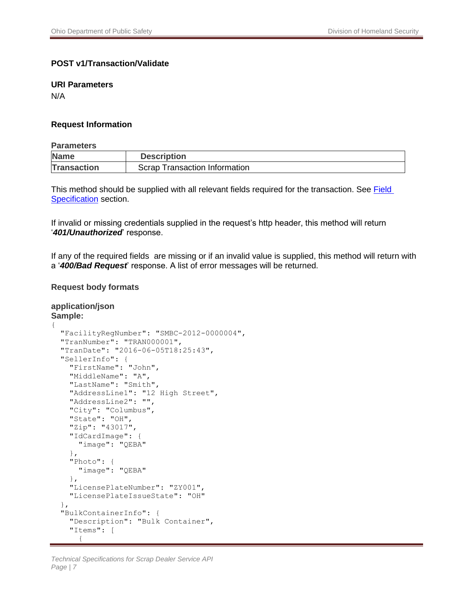#### <span id="page-8-0"></span>**POST v1/Transaction/Validate**

#### <span id="page-8-1"></span>**URI Parameters**

N/A

#### <span id="page-8-2"></span>**Request Information**

#### **Parameters**

| <b>Name</b>        | <b>Description</b>                   |
|--------------------|--------------------------------------|
| <b>Transaction</b> | <b>Scrap Transaction Information</b> |

This method should be supplied with all relevant fields required for the transaction. See **Field** [Specification](#page-17-2) section.

If invalid or missing credentials supplied in the request's http header, this method will return '*401/Unauthorized*' response.

If any of the required fields are missing or if an invalid value is supplied, this method will return with a '*400/Bad Request*' response. A list of error messages will be returned.

#### **Request body formats**

```
application/json
Sample:
{
   "FacilityRegNumber": "SMBC-2012-0000004",
   "TranNumber": "TRAN000001",
   "TranDate": "2016-06-05T18:25:43",
   "SellerInfo": {
     "FirstName": "John",
     "MiddleName": "A",
     "LastName": "Smith",
     "AddressLine1": "12 High Street",
     "AddressLine2": "",
     "City": "Columbus",
     "State": "OH",
     "Zip": "43017",
     "IdCardImage": {
       "image": "QEBA"
     },
     "Photo": {
       "image": "QEBA"
     },
     "LicensePlateNumber": "ZY001",
     "LicensePlateIssueState": "OH"
   },
   "BulkContainerInfo": {
     "Description": "Bulk Container",
     "Items": [
       {
```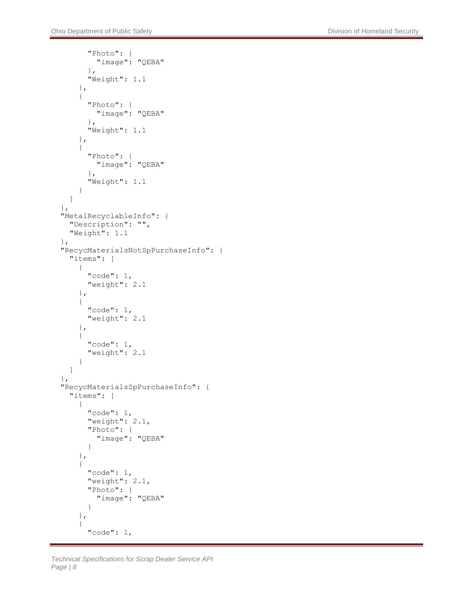```
 "Photo": {
            "image": "QEBA"
          },
          "Weight": 1.1
       },
       {
          "Photo": {
            "image": "QEBA"
          },
          "Weight": 1.1
       },
       {
          "Photo": {
            "image": "QEBA"
          },
          "Weight": 1.1
       }
     ]
  },
   "MetalRecyclableInfo": {
     "Description": "",
     "Weight": 1.1
   },
   "RecycMaterialsNotSpPurchaseInfo": {
     "items": [
       {
          "code": 1,
          "weight": 2.1
       },
       {
          "code": 1,
          "weight": 2.1
       },
       {
          "code": 1,
          "weight": 2.1
       }
     ]
   },
   "RecycMaterialsSpPurchaseInfo": {
     "items": [
       {
          "code": 1,
          "weight": 2.1,
          "Photo": {
            "image": "QEBA"
          }
       },
        {
          "code": 1,
          "weight": 2.1,
          "Photo": {
            "image": "QEBA"
 }
       },
        {
          "code": 1,
```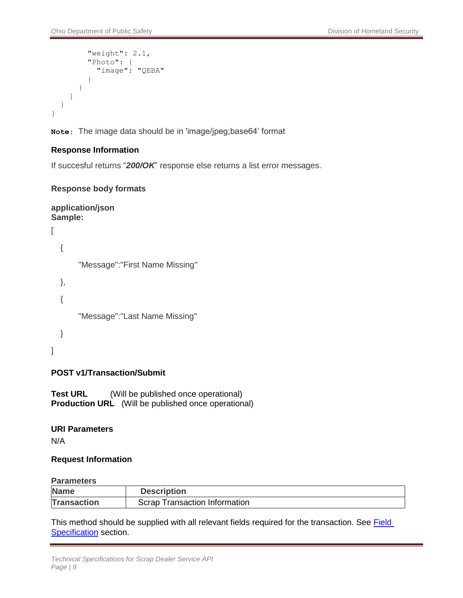```
 "weight": 2.1,
         "Photo": {
           "image": "QEBA"
 }
       }
     ]
   }
}
```
**Note**: The image data should be in 'image/jpeg;base64' format

#### <span id="page-10-0"></span>**Response Information**

If succesful returns "*200/OK*" response else returns a list error messages.

#### **Response body formats**

```
application/json
Sample: 
\overline{[} {
        "Message":"First Name Missing"
   },
   {
        "Message":"Last Name Missing"
   }
]
```
#### <span id="page-10-1"></span>**POST v1/Transaction/Submit**

**Test URL** (Will be published once operational) **Production URL** (Will be published once operational)

#### <span id="page-10-2"></span>**URI Parameters**

N/A

#### <span id="page-10-3"></span>**Request Information**

#### **Parameters**

| ---------------    |                                      |
|--------------------|--------------------------------------|
| <b>Name</b>        | <b>Description</b>                   |
| <b>Transaction</b> | <b>Scrap Transaction Information</b> |

This method should be supplied with all relevant fields required for the transaction. See **Field** [Specification](#page-17-2) section.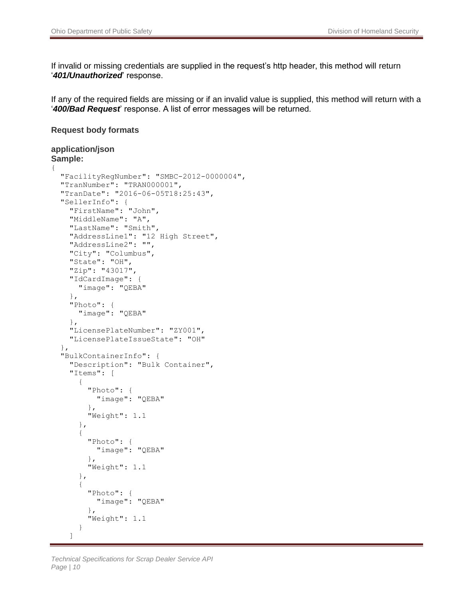If invalid or missing credentials are supplied in the request's http header, this method will return '*401/Unauthorized*' response.

If any of the required fields are missing or if an invalid value is supplied, this method will return with a '*400/Bad Request*' response. A list of error messages will be returned.

#### **Request body formats**

#### **application/json Sample:**

```
{
  "FacilityRegNumber": "SMBC-2012-0000004",
   "TranNumber": "TRAN000001",
   "TranDate": "2016-06-05T18:25:43",
   "SellerInfo": {
     "FirstName": "John",
     "MiddleName": "A",
     "LastName": "Smith",
     "AddressLine1": "12 High Street",
     "AddressLine2": "",
     "City": "Columbus",
     "State": "OH",
     "Zip": "43017",
     "IdCardImage": {
       "image": "QEBA"
     },
     "Photo": {
       "image": "QEBA"
     },
     "LicensePlateNumber": "ZY001",
     "LicensePlateIssueState": "OH"
   },
   "BulkContainerInfo": {
     "Description": "Bulk Container",
     "Items": [
       {
         "Photo": {
           "image": "QEBA"
         },
         "Weight": 1.1
       },
       {
         "Photo": {
           "image": "QEBA"
         },
         "Weight": 1.1
       },
       {
         "Photo": {
           "image": "QEBA"
         },
         "Weight": 1.1
       }
     ]
```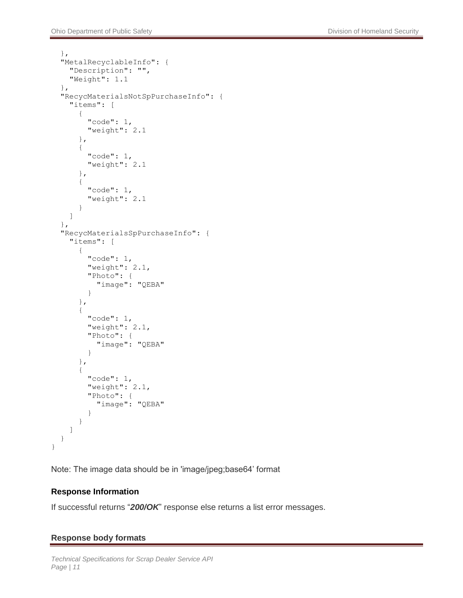```
 },
   "MetalRecyclableInfo": {
     "Description": "",
     "Weight": 1.1
  },
   "RecycMaterialsNotSpPurchaseInfo": {
     "items": [
       {
          "code": 1,
          "weight": 2.1
       },
       {
          "code": 1,
          "weight": 2.1
       },
       {
          "code": 1,
          "weight": 2.1
       }
     ]
   },
   "RecycMaterialsSpPurchaseInfo": {
     "items": [
        {
          "code": 1,
          "weight": 2.1,
          "Photo": {
            "image": "QEBA"
 }
       },
        {
          "code": 1,
          "weight": 2.1,
          "Photo": {
            "image": "QEBA"
          }
       },
        {
          "code": 1,
          "weight": 2.1,
          "Photo": {
            "image": "QEBA"
          }
       }
     ]
   }
```
Note: The image data should be in 'image/jpeg;base64' format

#### <span id="page-12-0"></span>**Response Information**

}

If successful returns "*200/OK*" response else returns a list error messages.

#### **Response body formats**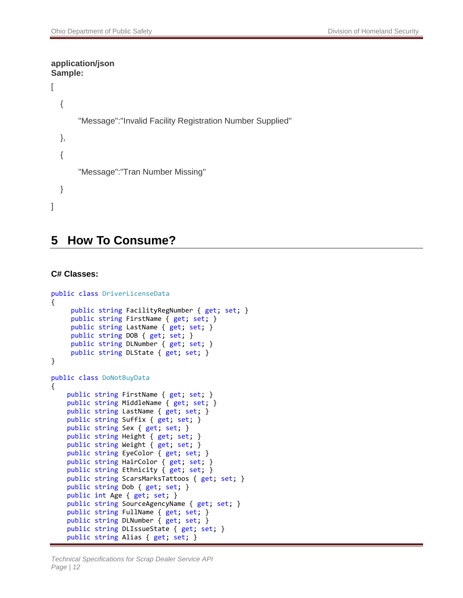#### **application/json Sample:**

```
\lceil {
        "Message":"Invalid Facility Registration Number Supplied"
   },
   {
        "Message":"Tran Number Missing"
   }
]
```
### <span id="page-13-0"></span>**5 How To Consume?**

#### <span id="page-13-1"></span>**C# Classes:**

```
public class DriverLicenseData
{
      public string FacilityRegNumber { get; set; }
      public string FirstName { get; set; }
      public string LastName { get; set; }
      public string DOB { get; set; }
     public string DLNumber { get; set; }
      public string DLState { get; set; }
}
public class DoNotBuyData
{
     public string FirstName { get; set; }
     public string MiddleName { get; set; }
    public string LastName { get; set; }
     public string Suffix { get; set; }
     public string Sex { get; set; }
     public string Height { get; set; }
     public string Weight { get; set; }
     public string EyeColor { get; set; }
     public string HairColor { get; set; }
     public string Ethnicity { get; set; }
     public string ScarsMarksTattoos { get; set; }
     public string Dob { get; set; }
     public int Age { get; set; }
     public string SourceAgencyName { get; set; }
     public string FullName { get; set; }
     public string DLNumber { get; set; }
     public string DLIssueState { get; set; }
     public string Alias { get; set; }
```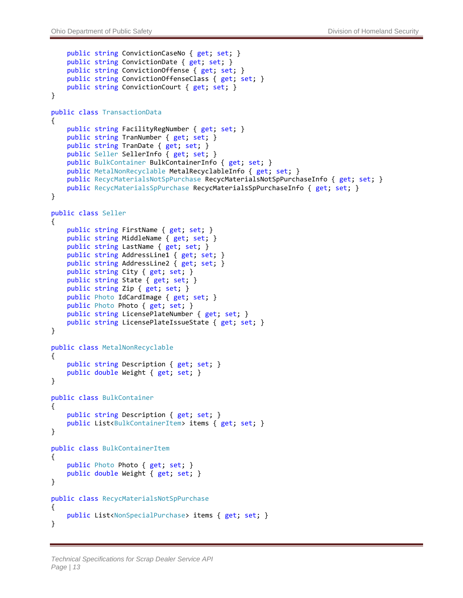```
 public string ConvictionCaseNo { get; set; }
     public string ConvictionDate { get; set; }
     public string ConvictionOffense { get; set; }
     public string ConvictionOffenseClass { get; set; }
    public string ConvictionCourt { get; set; }
}
public class TransactionData
{
     public string FacilityRegNumber { get; set; }
    public string TranNumber { get; set; }
     public string TranDate { get; set; }
    public Seller SellerInfo { get; set; }
     public BulkContainer BulkContainerInfo { get; set; }
     public MetalNonRecyclable MetalRecyclableInfo { get; set; }
    public RecycMaterialsNotSpPurchase RecycMaterialsNotSpPurchaseInfo { get; set; }
     public RecycMaterialsSpPurchase RecycMaterialsSpPurchaseInfo { get; set; }
}
public class Seller
{
     public string FirstName { get; set; }
     public string MiddleName { get; set; }
     public string LastName { get; set; }
     public string AddressLine1 { get; set; }
    public string AddressLine2 { get; set; }
     public string City { get; set; }
     public string State { get; set; }
     public string Zip { get; set; }
     public Photo IdCardImage { get; set; }
    public Photo Photo { get; set; }
     public string LicensePlateNumber { get; set; }
    public string LicensePlateIssueState { get; set; }
}
public class MetalNonRecyclable
{
     public string Description { get; set; }
     public double Weight { get; set; }
}
public class BulkContainer
{
     public string Description { get; set; }
    public List<BulkContainerItem> items { get; set; }
}
public class BulkContainerItem
{
     public Photo Photo { get; set; }
     public double Weight { get; set; }
}
public class RecycMaterialsNotSpPurchase
{
     public List<NonSpecialPurchase> items { get; set; }
}
```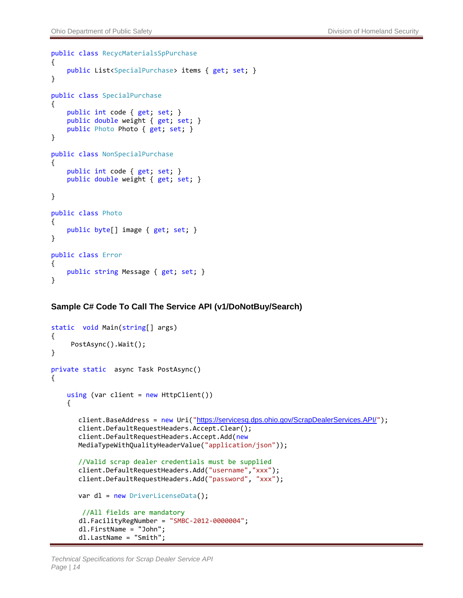```
public class RecycMaterialsSpPurchase
{
     public List<SpecialPurchase> items { get; set; }
}
public class SpecialPurchase
\mathfrak{t} public int code { get; set; }
     public double weight { get; set; }
    public Photo Photo { get; set; }
}
public class NonSpecialPurchase
{
     public int code { get; set; }
     public double weight { get; set; }
}
public class Photo
{
     public byte[] image { get; set; }
}
public class Error
{
     public string Message { get; set; }
}
```
#### <span id="page-15-0"></span>**Sample C# Code To Call The Service API (v1/DoNotBuy/Search)**

```
static void Main(string[] args)
{
      PostAsync().Wait();
}
private static async Task PostAsync()
{
    using (var client = new HttpClient())
     {
      https://servicesq.dps.ohio.gov/ScrapDealerServices.API/");
       client.DefaultRequestHeaders.Accept.Clear(); 
       client.DefaultRequestHeaders.Accept.Add(new
      MediaTypeWithQualityHeaderValue("application/json"));
      //Valid scrap dealer credentials must be supplied
       client.DefaultRequestHeaders.Add("username","xxx");
      client.DefaultRequestHeaders.Add("password", "xxx");
      var dl = new DriverLicenseData();
       //All fields are mandatory
        dl.FacilityRegNumber = "SMBC-2012-0000004";
        dl.FirstName = "John";
        dl.LastName = "Smith";
```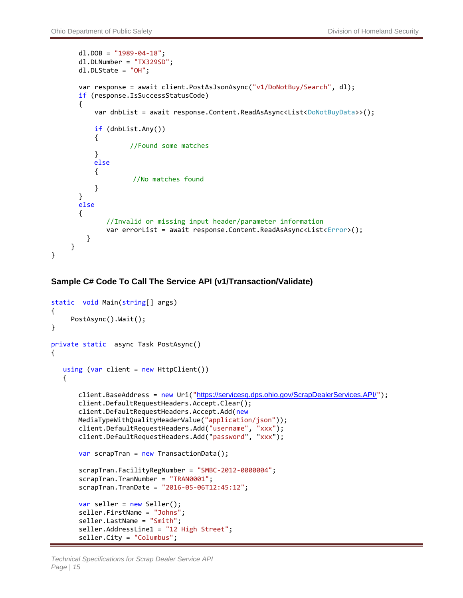```
d1.DOB = "1989-04-18";
        dl.DLNumber = "TX329SD";
        dl.DLState = "OH";
        var response = await client.PostAsJsonAsync("v1/DoNotBuy/Search", dl);
        if (response.IsSuccessStatusCode)
        {
           var dnbList = await response.Content.ReadAsAsync<List<DoNotBuyData>>();
            if (dnbList.Any())
\overline{\mathcal{L}} //Found some matches
 }
            else
\overline{\mathcal{L}}//No matches found
 }
        }
        else
        {
               //Invalid or missing input header/parameter information
              var errorList = await response.Content.ReadAsAsync<List<Error>();
          }
      }
}
```
#### <span id="page-16-0"></span>**Sample C# Code To Call The Service API (v1/Transaction/Validate)**

```
static void Main(string[] args)
{
     PostAsync().Wait();
}
private static async Task PostAsync()
{
   using (var client = new HttpClient())
   {
      https://servicesq.dps.ohio.gov/ScrapDealerServices.API/");
      client.DefaultRequestHeaders.Accept.Clear(); 
      client.DefaultRequestHeaders.Accept.Add(new 
      MediaTypeWithQualityHeaderValue("application/json"));
 client.DefaultRequestHeaders.Add("username", "xxx");
 client.DefaultRequestHeaders.Add("password", "xxx");
      var scrapTran = new TransactionData();
       scrapTran.FacilityRegNumber = "SMBC-2012-0000004";
      scrapTran.TranNumber = "TRAN0001";
       scrapTran.TranDate = "2016-05-06T12:45:12";
       var seller = new Seller();
       seller.FirstName = "Johns";
      seller.LastName = "Smith";
       seller.AddressLine1 = "12 High Street";
       seller.City = "Columbus";
```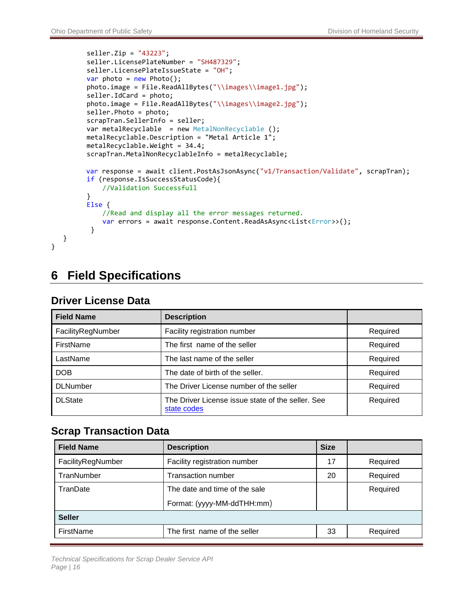```
 seller.Zip = "43223";
          seller.LicensePlateNumber = "SH487329";
         seller.LicensePlateIssueState = "OH";
         var photo = new Photo();
         photo.image = File.ReadAllBytes("\\images\\image1.jpg");
          seller.IdCard = photo;
         photo.image = File.ReadAllBytes("\\images\\image2.jpg");
          seller.Photo = photo;
          scrapTran.SellerInfo = seller;
          var metalRecyclable = new MetalNonRecyclable ();
          metalRecyclable.Description = "Metal Article 1";
          metalRecyclable.Weight = 34.4;
          scrapTran.MetalNonRecyclableInfo = metalRecyclable;
         var response = await client.PostAsJsonAsync("v1/Transaction/Validate", scrapTran);
          if (response.IsSuccessStatusCode){
              //Validation Successfull
          }
          Else {
              //Read and display all the error messages returned.
             var errors = await response.Content.ReadAsAsync<List<Error>>>>>>>();
 }
   }
```
## <span id="page-17-0"></span>**6 Field Specifications**

### <span id="page-17-1"></span>**Field Name Description**  FacilityRegNumber **Facility registration number FacilityRegNumber** Required FirstName The first name of the seller The Solid Required LastName The last name of the seller The Last name of the seller The Last Name of the seller Required DOB The date of birth of the seller. The seller and the seller and the seller and the seller and the seller and the Required DLNumber The Driver License number of the seller Required DLState The Driver License issue state of the seller. See [state codes](#page-20-1) Required

### **Driver License Data**

}

### <span id="page-17-2"></span>**Scrap Transaction Data**

| <b>Field Name</b> | <b>Description</b>            | <b>Size</b> |          |
|-------------------|-------------------------------|-------------|----------|
| FacilityRegNumber | Facility registration number  | 17          | Required |
| TranNumber        | Transaction number            | 20          | Required |
| TranDate          | The date and time of the sale |             | Required |
|                   | Format: (yyyy-MM-ddTHH:mm)    |             |          |
| <b>Seller</b>     |                               |             |          |
| FirstName         | The first name of the seller  | 33          | Required |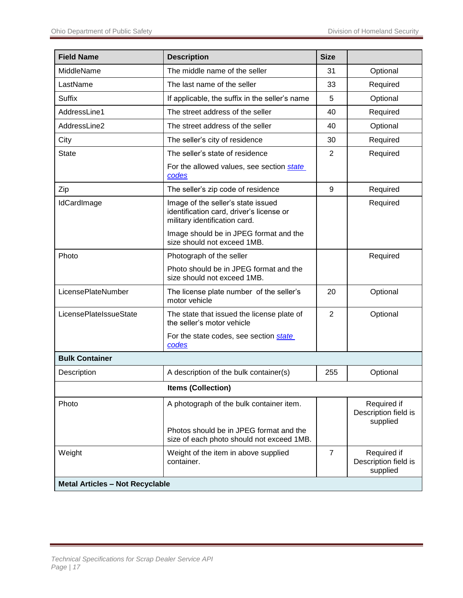| <b>Field Name</b>                      | <b>Description</b>                                                                                              | <b>Size</b>    |                                                 |
|----------------------------------------|-----------------------------------------------------------------------------------------------------------------|----------------|-------------------------------------------------|
| MiddleName                             | The middle name of the seller                                                                                   | 31             | Optional                                        |
| LastName                               | The last name of the seller                                                                                     | 33             | Required                                        |
| <b>Suffix</b>                          | If applicable, the suffix in the seller's name                                                                  | 5              | Optional                                        |
| AddressLine1                           | The street address of the seller                                                                                | 40             | Required                                        |
| AddressLine2                           | The street address of the seller                                                                                | 40             | Optional                                        |
| City                                   | The seller's city of residence                                                                                  | 30             | Required                                        |
| <b>State</b>                           | The seller's state of residence                                                                                 | $\overline{2}$ | Required                                        |
|                                        | For the allowed values, see section state<br>codes                                                              |                |                                                 |
| Zip                                    | The seller's zip code of residence                                                                              | 9              | Required                                        |
| IdCardImage                            | Image of the seller's state issued<br>identification card, driver's license or<br>military identification card. |                | Required                                        |
|                                        | Image should be in JPEG format and the<br>size should not exceed 1MB.                                           |                |                                                 |
| Photo                                  | Photograph of the seller                                                                                        |                | Required                                        |
|                                        | Photo should be in JPEG format and the<br>size should not exceed 1MB.                                           |                |                                                 |
| LicensePlateNumber                     | The license plate number of the seller's<br>motor vehicle                                                       | 20             | Optional                                        |
| LicensePlateIssueState                 | The state that issued the license plate of<br>the seller's motor vehicle                                        | $\overline{2}$ | Optional                                        |
|                                        | For the state codes, see section state<br>codes                                                                 |                |                                                 |
| <b>Bulk Container</b>                  |                                                                                                                 |                |                                                 |
| Description                            | A description of the bulk container(s)                                                                          | 255            | Optional                                        |
|                                        | <b>Items (Collection)</b>                                                                                       |                |                                                 |
| Photo                                  | A photograph of the bulk container item.                                                                        |                | Required if<br>Description field is<br>supplied |
|                                        | Photos should be in JPEG format and the<br>size of each photo should not exceed 1MB.                            |                |                                                 |
| Weight                                 | Weight of the item in above supplied<br>container.                                                              | $\overline{7}$ | Required if<br>Description field is<br>supplied |
| <b>Metal Articles - Not Recyclable</b> |                                                                                                                 |                |                                                 |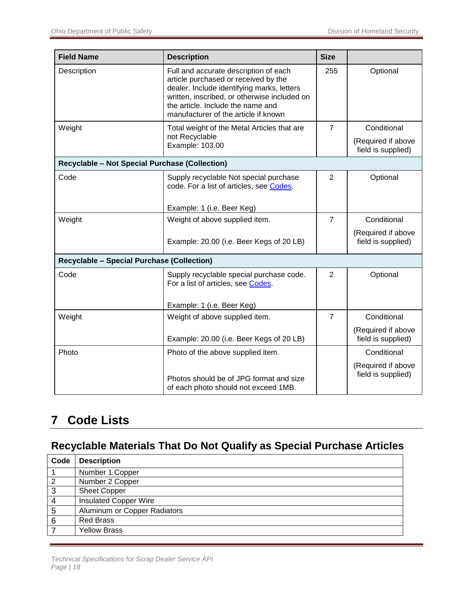| <b>Field Name</b>                                     | <b>Description</b>                                                                                                                                                                                                                                       | <b>Size</b>    |                                          |  |  |
|-------------------------------------------------------|----------------------------------------------------------------------------------------------------------------------------------------------------------------------------------------------------------------------------------------------------------|----------------|------------------------------------------|--|--|
| Description                                           | Full and accurate description of each<br>article purchased or received by the<br>dealer. Include identifying marks, letters<br>written, inscribed, or otherwise included on<br>the article. Include the name and<br>manufacturer of the article if known | 255            | Optional                                 |  |  |
| Weight                                                | Total weight of the Metal Articles that are                                                                                                                                                                                                              | $\overline{7}$ | Conditional                              |  |  |
|                                                       | not Recyclable<br>Example: 103.00                                                                                                                                                                                                                        |                | (Required if above<br>field is supplied) |  |  |
| <b>Recyclable - Not Special Purchase (Collection)</b> |                                                                                                                                                                                                                                                          |                |                                          |  |  |
| Code                                                  | Supply recyclable Not special purchase<br>code. For a list of articles, see Codes.                                                                                                                                                                       | 2              | Optional                                 |  |  |
|                                                       | Example: 1 (i.e. Beer Keg)                                                                                                                                                                                                                               |                |                                          |  |  |
| Weight                                                | Weight of above supplied item.                                                                                                                                                                                                                           | $\overline{7}$ | Conditional                              |  |  |
|                                                       | Example: 20.00 (i.e. Beer Kegs of 20 LB)                                                                                                                                                                                                                 |                | (Required if above<br>field is supplied) |  |  |
|                                                       | <b>Recyclable - Special Purchase (Collection)</b>                                                                                                                                                                                                        |                |                                          |  |  |
| Code                                                  | Supply recyclable special purchase code.<br>For a list of articles, see Codes.                                                                                                                                                                           | $\overline{2}$ | Optional                                 |  |  |
|                                                       | Example: 1 (i.e. Beer Keg)                                                                                                                                                                                                                               |                |                                          |  |  |
| Weight                                                | Weight of above supplied item.                                                                                                                                                                                                                           | $\overline{7}$ | Conditional                              |  |  |
|                                                       | Example: 20.00 (i.e. Beer Kegs of 20 LB)                                                                                                                                                                                                                 |                | (Required if above<br>field is supplied) |  |  |
| Photo                                                 | Photo of the above supplied item.                                                                                                                                                                                                                        |                | Conditional                              |  |  |
|                                                       | Photos should be of JPG format and size<br>of each photo should not exceed 1MB.                                                                                                                                                                          |                | (Required if above<br>field is supplied) |  |  |

# <span id="page-19-0"></span>**7 Code Lists**

## <span id="page-19-1"></span>**Recyclable Materials That Do Not Qualify as Special Purchase Articles**

| Code           | <b>Description</b>           |
|----------------|------------------------------|
|                | Number 1 Copper              |
| $\overline{2}$ | Number 2 Copper              |
| 3              | <b>Sheet Copper</b>          |
| 4              | <b>Insulated Copper Wire</b> |
| 5              | Aluminum or Copper Radiators |
| 6              | <b>Red Brass</b>             |
|                | <b>Yellow Brass</b>          |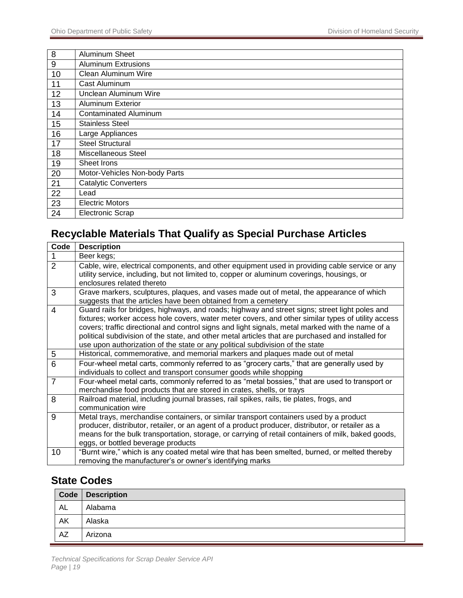| 8  | Aluminum Sheet                |
|----|-------------------------------|
| 9  | <b>Aluminum Extrusions</b>    |
| 10 | Clean Aluminum Wire           |
| 11 | Cast Aluminum                 |
| 12 | Unclean Aluminum Wire         |
| 13 | <b>Aluminum Exterior</b>      |
| 14 | <b>Contaminated Aluminum</b>  |
| 15 | <b>Stainless Steel</b>        |
| 16 | Large Appliances              |
| 17 | <b>Steel Structural</b>       |
| 18 | <b>Miscellaneous Steel</b>    |
| 19 | Sheet Irons                   |
| 20 | Motor-Vehicles Non-body Parts |
| 21 | <b>Catalytic Converters</b>   |
| 22 | Lead                          |
| 23 | <b>Electric Motors</b>        |
| 24 | <b>Electronic Scrap</b>       |

## <span id="page-20-0"></span>**Recyclable Materials That Qualify as Special Purchase Articles**

| Code           | <b>Description</b>                                                                                                                                                                                                                                                                                                                                                                                                                                                                             |
|----------------|------------------------------------------------------------------------------------------------------------------------------------------------------------------------------------------------------------------------------------------------------------------------------------------------------------------------------------------------------------------------------------------------------------------------------------------------------------------------------------------------|
|                | Beer kegs;                                                                                                                                                                                                                                                                                                                                                                                                                                                                                     |
| $\overline{2}$ | Cable, wire, electrical components, and other equipment used in providing cable service or any<br>utility service, including, but not limited to, copper or aluminum coverings, housings, or<br>enclosures related thereto                                                                                                                                                                                                                                                                     |
| 3              | Grave markers, sculptures, plaques, and vases made out of metal, the appearance of which<br>suggests that the articles have been obtained from a cemetery                                                                                                                                                                                                                                                                                                                                      |
| $\overline{4}$ | Guard rails for bridges, highways, and roads; highway and street signs; street light poles and<br>fixtures; worker access hole covers, water meter covers, and other similar types of utility access<br>covers; traffic directional and control signs and light signals, metal marked with the name of a<br>political subdivision of the state, and other metal articles that are purchased and installed for<br>use upon authorization of the state or any political subdivision of the state |
| 5              | Historical, commemorative, and memorial markers and plaques made out of metal                                                                                                                                                                                                                                                                                                                                                                                                                  |
| 6              | Four-wheel metal carts, commonly referred to as "grocery carts," that are generally used by<br>individuals to collect and transport consumer goods while shopping                                                                                                                                                                                                                                                                                                                              |
| $\overline{7}$ | Four-wheel metal carts, commonly referred to as "metal bossies," that are used to transport or<br>merchandise food products that are stored in crates, shells, or trays                                                                                                                                                                                                                                                                                                                        |
| 8              | Railroad material, including journal brasses, rail spikes, rails, tie plates, frogs, and<br>communication wire                                                                                                                                                                                                                                                                                                                                                                                 |
| 9              | Metal trays, merchandise containers, or similar transport containers used by a product<br>producer, distributor, retailer, or an agent of a product producer, distributor, or retailer as a<br>means for the bulk transportation, storage, or carrying of retail containers of milk, baked goods,<br>eggs, or bottled beverage products                                                                                                                                                        |
| 10             | "Burnt wire," which is any coated metal wire that has been smelted, burned, or melted thereby<br>removing the manufacturer's or owner's identifying marks                                                                                                                                                                                                                                                                                                                                      |

### <span id="page-20-1"></span>**State Codes**

|           | Code   Description |
|-----------|--------------------|
| <b>AL</b> | Alabama            |
| AK        | Alaska             |
| AZ        | Arizona            |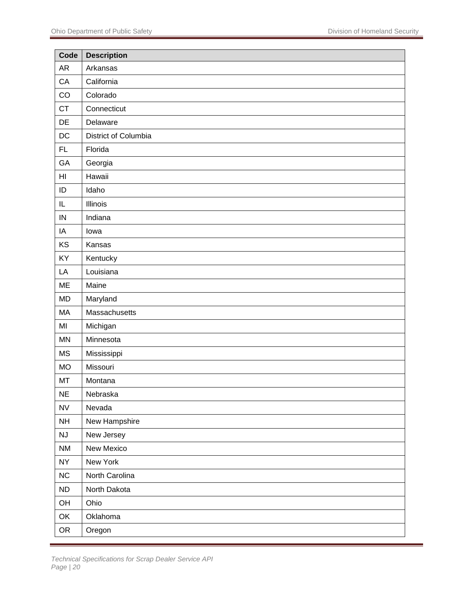| Code                   | <b>Description</b>   |
|------------------------|----------------------|
| <b>AR</b>              | Arkansas             |
| CA                     | California           |
| CO                     | Colorado             |
| CT                     | Connecticut          |
| DE                     | Delaware             |
| $DC$                   | District of Columbia |
| <b>FL</b>              | Florida              |
| GA                     | Georgia              |
| H <sub>l</sub>         | Hawaii               |
| ID                     | Idaho                |
| $\sf IL$               | Illinois             |
| IN                     | Indiana              |
| IA                     | lowa                 |
| KS                     | Kansas               |
| KY                     | Kentucky             |
| LA                     | Louisiana            |
| <b>ME</b>              | Maine                |
| <b>MD</b>              | Maryland             |
| MA                     | Massachusetts        |
| MI                     | Michigan             |
| <b>MN</b>              | Minnesota            |
| <b>MS</b>              | Mississippi          |
| <b>MO</b>              | Missouri             |
| MT                     | Montana              |
| <b>NE</b>              | Nebraska             |
| <b>NV</b>              | Nevada               |
| <b>NH</b>              | New Hampshire        |
| $\mathsf{N}\mathsf{J}$ | New Jersey           |
| <b>NM</b>              | New Mexico           |
| <b>NY</b>              | New York             |
| NC                     | North Carolina       |
| ND                     | North Dakota         |
| OH                     | Ohio                 |
| OK                     | Oklahoma             |
| OR                     | Oregon               |